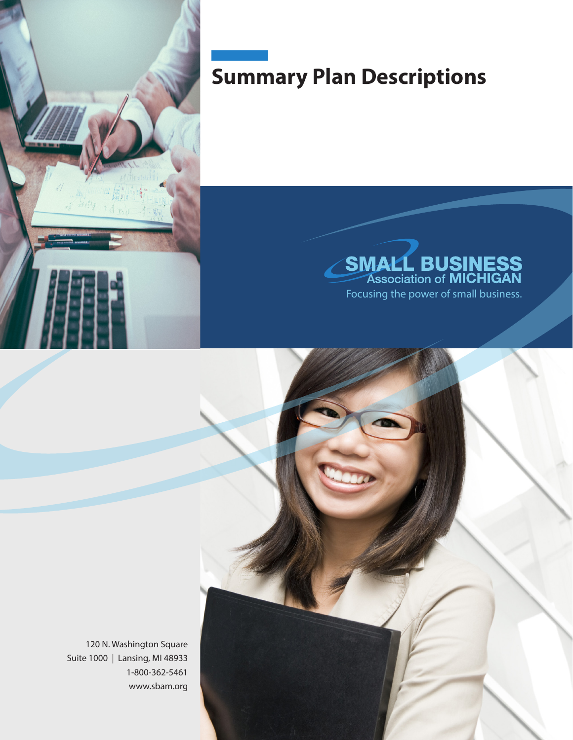

## **Summary Plan Descriptions**



120 N. Washington Square Suite 1000 | Lansing, MI 48933 1-800-362-5461 www.sbam.org